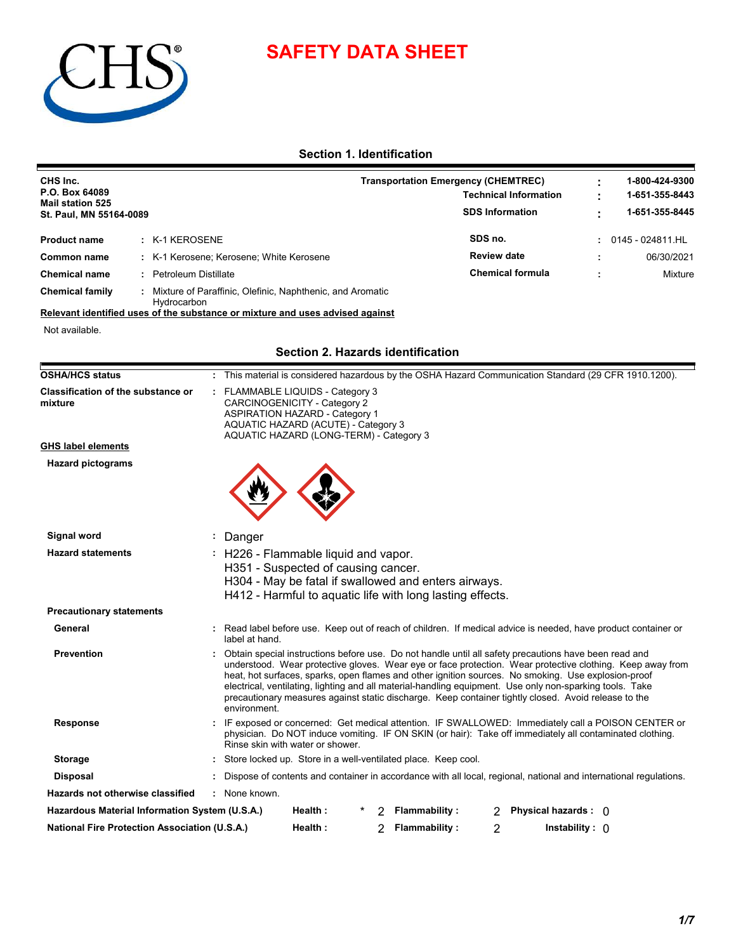



# **Section 1. Identification**

| CHS Inc.<br>P.O. Box 64089<br><b>Mail station 525</b><br>St. Paul, MN 55164-0089             |   |                                                                                                                                                                                           |         |   | <b>Transportation Emergency (CHEMTREC)</b>                                                                                                                                                                                                                                                                                                                                                                                                                                                                                                    | <b>Technical Information</b><br><b>SDS Information</b> |                         |                        |                    | 1-800-424-9300<br>1-651-355-8443<br>1-651-355-8445 |
|----------------------------------------------------------------------------------------------|---|-------------------------------------------------------------------------------------------------------------------------------------------------------------------------------------------|---------|---|-----------------------------------------------------------------------------------------------------------------------------------------------------------------------------------------------------------------------------------------------------------------------------------------------------------------------------------------------------------------------------------------------------------------------------------------------------------------------------------------------------------------------------------------------|--------------------------------------------------------|-------------------------|------------------------|--------------------|----------------------------------------------------|
| : K-1 KEROSENE<br><b>Product name</b>                                                        |   |                                                                                                                                                                                           |         |   |                                                                                                                                                                                                                                                                                                                                                                                                                                                                                                                                               | SDS no.                                                |                         |                        | : 0145 - 024811.HL |                                                    |
| Common name                                                                                  |   | K-1 Kerosene; Kerosene; White Kerosene                                                                                                                                                    |         |   |                                                                                                                                                                                                                                                                                                                                                                                                                                                                                                                                               | <b>Review date</b>                                     |                         |                        |                    | 06/30/2021                                         |
| <b>Petroleum Distillate</b><br><b>Chemical name</b>                                          |   |                                                                                                                                                                                           |         |   |                                                                                                                                                                                                                                                                                                                                                                                                                                                                                                                                               |                                                        | <b>Chemical formula</b> |                        |                    | Mixture                                            |
| <b>Chemical family</b>                                                                       |   | Mixture of Paraffinic, Olefinic, Naphthenic, and Aromatic                                                                                                                                 |         |   |                                                                                                                                                                                                                                                                                                                                                                                                                                                                                                                                               |                                                        |                         |                        |                    |                                                    |
| Hydrocarbon<br>Relevant identified uses of the substance or mixture and uses advised against |   |                                                                                                                                                                                           |         |   |                                                                                                                                                                                                                                                                                                                                                                                                                                                                                                                                               |                                                        |                         |                        |                    |                                                    |
| Not available.                                                                               |   |                                                                                                                                                                                           |         |   |                                                                                                                                                                                                                                                                                                                                                                                                                                                                                                                                               |                                                        |                         |                        |                    |                                                    |
|                                                                                              |   |                                                                                                                                                                                           |         |   | Section 2. Hazards identification                                                                                                                                                                                                                                                                                                                                                                                                                                                                                                             |                                                        |                         |                        |                    |                                                    |
| <b>OSHA/HCS status</b>                                                                       |   |                                                                                                                                                                                           |         |   | This material is considered hazardous by the OSHA Hazard Communication Standard (29 CFR 1910.1200).                                                                                                                                                                                                                                                                                                                                                                                                                                           |                                                        |                         |                        |                    |                                                    |
| <b>Classification of the substance or</b><br>mixture                                         |   | FLAMMABLE LIQUIDS - Category 3<br>CARCINOGENICITY - Category 2<br><b>ASPIRATION HAZARD - Category 1</b><br>AQUATIC HAZARD (ACUTE) - Category 3<br>AQUATIC HAZARD (LONG-TERM) - Category 3 |         |   |                                                                                                                                                                                                                                                                                                                                                                                                                                                                                                                                               |                                                        |                         |                        |                    |                                                    |
| <b>GHS label elements</b>                                                                    |   |                                                                                                                                                                                           |         |   |                                                                                                                                                                                                                                                                                                                                                                                                                                                                                                                                               |                                                        |                         |                        |                    |                                                    |
| <b>Hazard pictograms</b>                                                                     |   |                                                                                                                                                                                           |         |   |                                                                                                                                                                                                                                                                                                                                                                                                                                                                                                                                               |                                                        |                         |                        |                    |                                                    |
| Signal word                                                                                  | ÷ | Danger                                                                                                                                                                                    |         |   |                                                                                                                                                                                                                                                                                                                                                                                                                                                                                                                                               |                                                        |                         |                        |                    |                                                    |
| <b>Hazard statements</b>                                                                     |   | : H226 - Flammable liquid and vapor.<br>H351 - Suspected of causing cancer.                                                                                                               |         |   | H304 - May be fatal if swallowed and enters airways.<br>H412 - Harmful to aquatic life with long lasting effects.                                                                                                                                                                                                                                                                                                                                                                                                                             |                                                        |                         |                        |                    |                                                    |
| <b>Precautionary statements</b>                                                              |   |                                                                                                                                                                                           |         |   |                                                                                                                                                                                                                                                                                                                                                                                                                                                                                                                                               |                                                        |                         |                        |                    |                                                    |
| General                                                                                      |   | label at hand.                                                                                                                                                                            |         |   | : Read label before use. Keep out of reach of children. If medical advice is needed, have product container or                                                                                                                                                                                                                                                                                                                                                                                                                                |                                                        |                         |                        |                    |                                                    |
| <b>Prevention</b>                                                                            |   | environment.                                                                                                                                                                              |         |   | Obtain special instructions before use. Do not handle until all safety precautions have been read and<br>understood. Wear protective gloves. Wear eye or face protection. Wear protective clothing. Keep away from<br>heat, hot surfaces, sparks, open flames and other ignition sources. No smoking. Use explosion-proof<br>electrical, ventilating, lighting and all material-handling equipment. Use only non-sparking tools. Take<br>precautionary measures against static discharge. Keep container tightly closed. Avoid release to the |                                                        |                         |                        |                    |                                                    |
| <b>Response</b>                                                                              |   | Rinse skin with water or shower.                                                                                                                                                          |         |   | : IF exposed or concerned: Get medical attention. IF SWALLOWED: Immediately call a POISON CENTER or<br>physician. Do NOT induce vomiting. IF ON SKIN (or hair): Take off immediately all contaminated clothing.                                                                                                                                                                                                                                                                                                                               |                                                        |                         |                        |                    |                                                    |
| <b>Storage</b>                                                                               |   |                                                                                                                                                                                           |         |   | : Store locked up. Store in a well-ventilated place. Keep cool.                                                                                                                                                                                                                                                                                                                                                                                                                                                                               |                                                        |                         |                        |                    |                                                    |
| <b>Disposal</b>                                                                              |   |                                                                                                                                                                                           |         |   | Dispose of contents and container in accordance with all local, regional, national and international regulations.                                                                                                                                                                                                                                                                                                                                                                                                                             |                                                        |                         |                        |                    |                                                    |
| <b>Hazards not otherwise classified</b>                                                      |   | : None known.                                                                                                                                                                             |         |   |                                                                                                                                                                                                                                                                                                                                                                                                                                                                                                                                               |                                                        |                         |                        |                    |                                                    |
| Hazardous Material Information System (U.S.A.)                                               |   |                                                                                                                                                                                           | Health: | 2 | <b>Flammability:</b>                                                                                                                                                                                                                                                                                                                                                                                                                                                                                                                          | 2                                                      |                         | Physical hazards : 0   |                    |                                                    |
| <b>National Fire Protection Association (U.S.A.)</b>                                         |   |                                                                                                                                                                                           | Health: | 2 | <b>Flammability:</b>                                                                                                                                                                                                                                                                                                                                                                                                                                                                                                                          | 2                                                      |                         | Instability : $\theta$ |                    |                                                    |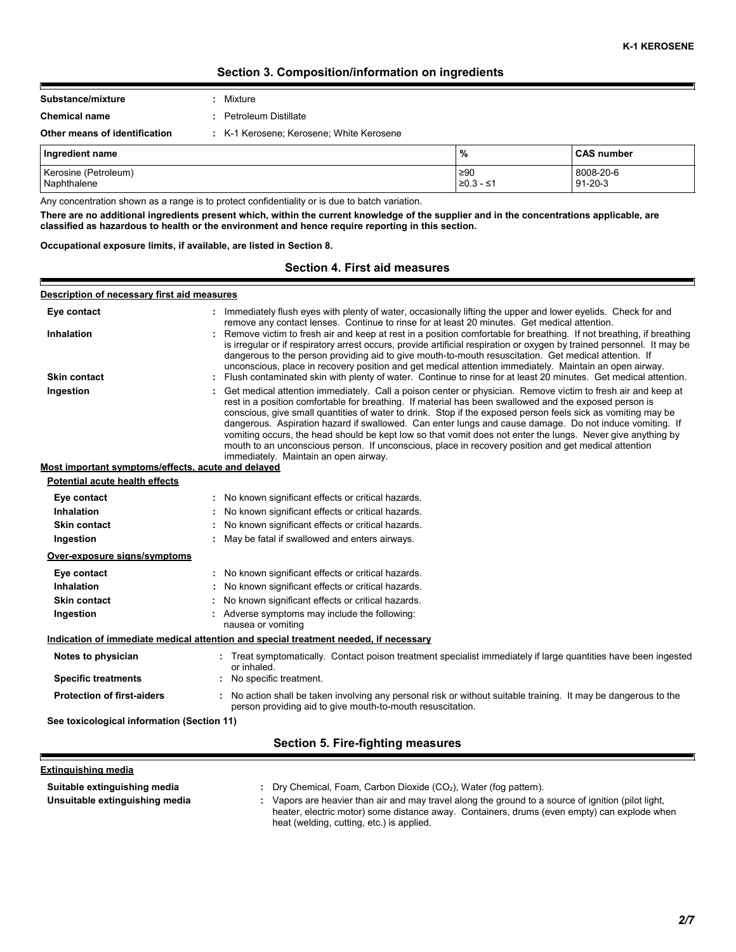# **Section 3. Composition/information on ingredients**

| Substance/mixture             | : Mixture                                |
|-------------------------------|------------------------------------------|
| <b>Chemical name</b>          | : Petroleum Distillate                   |
| Other means of identification | : K-1 Kerosene: Kerosene: White Kerosene |

| Ingredient name      | %           | <b>CAS number</b> |
|----------------------|-------------|-------------------|
| Kerosine (Petroleum) | $\geq 90$   | 8008-20-6         |
| Naphthalene          | $≥0.3 - ≤1$ | $91 - 20 - 3$     |

Any concentration shown as a range is to protect confidentiality or is due to batch variation.

**There are no additional ingredients present which, within the current knowledge of the supplier and in the concentrations applicable, are classified as hazardous to health or the environment and hence require reporting in this section.**

**Occupational exposure limits, if available, are listed in Section 8.**

Е

# **Section 4. First aid measures**

| Description of necessary first aid measures        |                                                                                                                                                                                                                                                                                                                                                                                                                                                                                                                                                                                                                                                                                                                   |
|----------------------------------------------------|-------------------------------------------------------------------------------------------------------------------------------------------------------------------------------------------------------------------------------------------------------------------------------------------------------------------------------------------------------------------------------------------------------------------------------------------------------------------------------------------------------------------------------------------------------------------------------------------------------------------------------------------------------------------------------------------------------------------|
| Eye contact                                        | : Immediately flush eyes with plenty of water, occasionally lifting the upper and lower eyelids. Check for and<br>remove any contact lenses. Continue to rinse for at least 20 minutes. Get medical attention.                                                                                                                                                                                                                                                                                                                                                                                                                                                                                                    |
| <b>Inhalation</b>                                  | : Remove victim to fresh air and keep at rest in a position comfortable for breathing. If not breathing, if breathing<br>is irregular or if respiratory arrest occurs, provide artificial respiration or oxygen by trained personnel. It may be<br>dangerous to the person providing aid to give mouth-to-mouth resuscitation. Get medical attention. If<br>unconscious, place in recovery position and get medical attention immediately. Maintain an open airway.                                                                                                                                                                                                                                               |
| <b>Skin contact</b>                                | Flush contaminated skin with plenty of water. Continue to rinse for at least 20 minutes. Get medical attention.                                                                                                                                                                                                                                                                                                                                                                                                                                                                                                                                                                                                   |
| Ingestion                                          | Get medical attention immediately. Call a poison center or physician. Remove victim to fresh air and keep at<br>rest in a position comfortable for breathing. If material has been swallowed and the exposed person is<br>conscious, give small quantities of water to drink. Stop if the exposed person feels sick as vomiting may be<br>dangerous. Aspiration hazard if swallowed. Can enter lungs and cause damage. Do not induce vomiting. If<br>vomiting occurs, the head should be kept low so that vomit does not enter the lungs. Never give anything by<br>mouth to an unconscious person. If unconscious, place in recovery position and get medical attention<br>immediately. Maintain an open airway. |
| Most important symptoms/effects, acute and delayed |                                                                                                                                                                                                                                                                                                                                                                                                                                                                                                                                                                                                                                                                                                                   |
| Potential acute health effects                     |                                                                                                                                                                                                                                                                                                                                                                                                                                                                                                                                                                                                                                                                                                                   |
| Eye contact                                        | : No known significant effects or critical hazards.                                                                                                                                                                                                                                                                                                                                                                                                                                                                                                                                                                                                                                                               |
| Inhalation                                         | No known significant effects or critical hazards.                                                                                                                                                                                                                                                                                                                                                                                                                                                                                                                                                                                                                                                                 |
| <b>Skin contact</b>                                | : No known significant effects or critical hazards.                                                                                                                                                                                                                                                                                                                                                                                                                                                                                                                                                                                                                                                               |
| Ingestion                                          | May be fatal if swallowed and enters airways.                                                                                                                                                                                                                                                                                                                                                                                                                                                                                                                                                                                                                                                                     |
| Over-exposure signs/symptoms                       |                                                                                                                                                                                                                                                                                                                                                                                                                                                                                                                                                                                                                                                                                                                   |
| Eye contact                                        | : No known significant effects or critical hazards.                                                                                                                                                                                                                                                                                                                                                                                                                                                                                                                                                                                                                                                               |
| <b>Inhalation</b>                                  | No known significant effects or critical hazards.                                                                                                                                                                                                                                                                                                                                                                                                                                                                                                                                                                                                                                                                 |
| <b>Skin contact</b>                                | No known significant effects or critical hazards.                                                                                                                                                                                                                                                                                                                                                                                                                                                                                                                                                                                                                                                                 |
| Ingestion                                          | Adverse symptoms may include the following:<br>nausea or vomiting                                                                                                                                                                                                                                                                                                                                                                                                                                                                                                                                                                                                                                                 |
|                                                    | Indication of immediate medical attention and special treatment needed, if necessary                                                                                                                                                                                                                                                                                                                                                                                                                                                                                                                                                                                                                              |
| Notes to physician                                 | : Treat symptomatically. Contact poison treatment specialist immediately if large quantities have been ingested<br>or inhaled.                                                                                                                                                                                                                                                                                                                                                                                                                                                                                                                                                                                    |
| <b>Specific treatments</b>                         | No specific treatment.                                                                                                                                                                                                                                                                                                                                                                                                                                                                                                                                                                                                                                                                                            |
| <b>Protection of first-aiders</b>                  | : No action shall be taken involving any personal risk or without suitable training. It may be dangerous to the<br>person providing aid to give mouth-to-mouth resuscitation.                                                                                                                                                                                                                                                                                                                                                                                                                                                                                                                                     |
| See toxicological information (Section 11)         |                                                                                                                                                                                                                                                                                                                                                                                                                                                                                                                                                                                                                                                                                                                   |
|                                                    | Section 5. Fire-fighting measures                                                                                                                                                                                                                                                                                                                                                                                                                                                                                                                                                                                                                                                                                 |

| Extinguishing media            |                                                                                                                                                                                                                                               |
|--------------------------------|-----------------------------------------------------------------------------------------------------------------------------------------------------------------------------------------------------------------------------------------------|
| Suitable extinguishing media   | Dry Chemical, Foam, Carbon Dioxide (CO <sub>2</sub> ), Water (fog pattern).                                                                                                                                                                   |
| Unsuitable extinguishing media | Vapors are heavier than air and may travel along the ground to a source of ignition (pilot light,<br>heater, electric motor) some distance away. Containers, drums (even empty) can explode when<br>heat (welding, cutting, etc.) is applied. |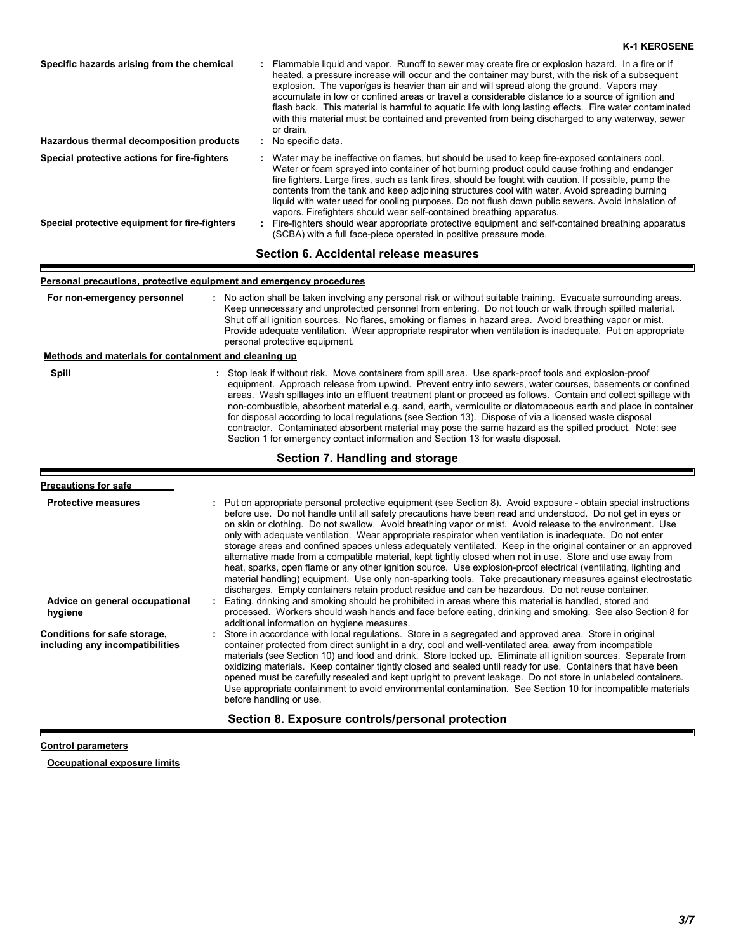### Water may be ineffective on flames, but should be used to keep fire-exposed containers cool. Water or foam sprayed into container of hot burning product could cause frothing and endanger fire fighters. Large fires, such as tank fires, should be fought with caution. If possible, pump the contents from the tank and keep adjoining structures cool with water. Avoid spreading burning liquid with water used for cooling purposes. Do not flush down public sewers. Avoid inhalation of vapors. Firefighters should wear self-contained breathing apparatus. **Hazardous thermal decomposition products Specific hazards arising from the chemical** No specific data. **:** Flammable liquid and vapor. Runoff to sewer may create fire or explosion hazard. In a fire or if **:** heated, a pressure increase will occur and the container may burst, with the risk of a subsequent explosion. The vapor/gas is heavier than air and will spread along the ground. Vapors may accumulate in low or confined areas or travel a considerable distance to a source of ignition and flash back. This material is harmful to aquatic life with long lasting effects. Fire water contaminated with this material must be contained and prevented from being discharged to any waterway, sewer or drain. Fire-fighters should wear appropriate protective equipment and self-contained breathing apparatus **:** (SCBA) with a full face-piece operated in positive pressure mode. **Special protective equipment for fire-fighters Special protective actions for fire-fighters :**

### **Section 6. Accidental release measures**

## **Personal precautions, protective equipment and emergency procedures**

| For non-emergency personnel                           | : No action shall be taken involving any personal risk or without suitable training. Evacuate surrounding areas.<br>Keep unnecessary and unprotected personnel from entering. Do not touch or walk through spilled material.<br>Shut off all ignition sources. No flares, smoking or flames in hazard area. Avoid breathing vapor or mist.<br>Provide adequate ventilation. Wear appropriate respirator when ventilation is inadequate. Put on appropriate<br>personal protective equipment.                                                                       |
|-------------------------------------------------------|--------------------------------------------------------------------------------------------------------------------------------------------------------------------------------------------------------------------------------------------------------------------------------------------------------------------------------------------------------------------------------------------------------------------------------------------------------------------------------------------------------------------------------------------------------------------|
| Methods and materials for containment and cleaning up |                                                                                                                                                                                                                                                                                                                                                                                                                                                                                                                                                                    |
| Spill                                                 | : Stop leak if without risk. Move containers from spill area. Use spark-proof tools and explosion-proof<br>equipment. Approach release from upwind. Prevent entry into sewers, water courses, basements or confined<br>areas. Wash spillages into an effluent treatment plant or proceed as follows. Contain and collect spillage with<br>non-combustible, absorbent material e.g. sand, earth, vermiculite or diatomaceous earth and place in container<br>for disposal according to local regulations (see Section 13). Dispose of via a licensed waste disposal |

contractor. Contaminated absorbent material may pose the same hazard as the spilled product. Note: see Section 1 for emergency contact information and Section 13 for waste disposal.

### **Section 7. Handling and storage**

### **Advice on general occupational hygiene Conditions for safe storage, including any incompatibilities** Eating, drinking and smoking should be prohibited in areas where this material is handled, stored and **:** processed. Workers should wash hands and face before eating, drinking and smoking. See also Section 8 for additional information on hygiene measures. Store in accordance with local regulations. Store in a segregated and approved area. Store in original **:** container protected from direct sunlight in a dry, cool and well-ventilated area, away from incompatible materials (see Section 10) and food and drink. Store locked up. Eliminate all ignition sources. Separate from oxidizing materials. Keep container tightly closed and sealed until ready for use. Containers that have been opened must be carefully resealed and kept upright to prevent leakage. Do not store in unlabeled containers. Use appropriate containment to avoid environmental contamination. See Section 10 for incompatible materials before handling or use. **Put on appropriate personal protective equipment (see Section 8). Avoid exposure - obtain special instructions** before use. Do not handle until all safety precautions have been read and understood. Do not get in eyes or on skin or clothing. Do not swallow. Avoid breathing vapor or mist. Avoid release to the environment. Use only with adequate ventilation. Wear appropriate respirator when ventilation is inadequate. Do not enter storage areas and confined spaces unless adequately ventilated. Keep in the original container or an approved alternative made from a compatible material, kept tightly closed when not in use. Store and use away from heat, sparks, open flame or any other ignition source. Use explosion-proof electrical (ventilating, lighting and material handling) equipment. Use only non-sparking tools. Take precautionary measures against electrostatic discharges. Empty containers retain product residue and can be hazardous. Do not reuse container. **: Precautions for safe Section 8. Exposure controls/personal protection**

### **Control parameters**

**Occupational exposure limits**

**K-1 KEROSENE**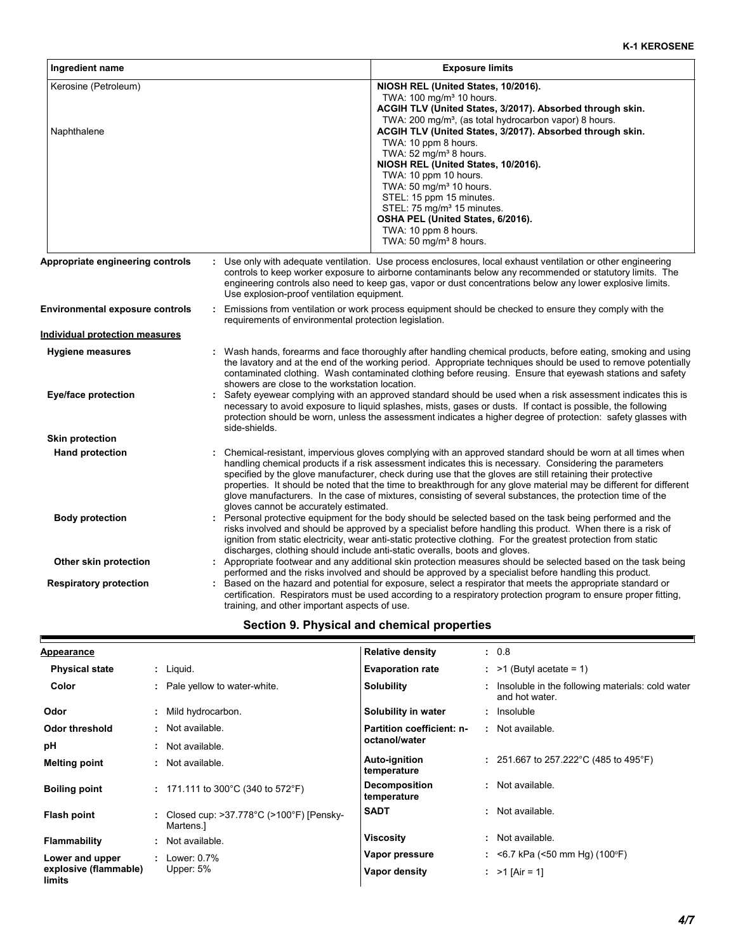| Ingredient name                                | <b>Exposure limits</b>                                                                                                                                                                                                                                                                                                                                                                                                                                                                                                                                                                                                                                                                                                                                         |
|------------------------------------------------|----------------------------------------------------------------------------------------------------------------------------------------------------------------------------------------------------------------------------------------------------------------------------------------------------------------------------------------------------------------------------------------------------------------------------------------------------------------------------------------------------------------------------------------------------------------------------------------------------------------------------------------------------------------------------------------------------------------------------------------------------------------|
| Kerosine (Petroleum)<br>Naphthalene            | NIOSH REL (United States, 10/2016).<br>TWA: 100 mg/m <sup>3</sup> 10 hours.<br>ACGIH TLV (United States, 3/2017). Absorbed through skin.<br>TWA: 200 mg/m <sup>3</sup> , (as total hydrocarbon vapor) 8 hours.<br>ACGIH TLV (United States, 3/2017). Absorbed through skin.<br>TWA: 10 ppm 8 hours.<br>TWA: $52 \text{ mg/m}^3$ 8 hours.<br>NIOSH REL (United States, 10/2016).<br>TWA: 10 ppm 10 hours.<br>TWA: 50 mg/m <sup>3</sup> 10 hours.<br>STEL: 15 ppm 15 minutes.<br>STEL: 75 mg/m <sup>3</sup> 15 minutes.<br>OSHA PEL (United States, 6/2016).<br>TWA: 10 ppm 8 hours.<br>TWA: 50 mg/m <sup>3</sup> 8 hours.                                                                                                                                       |
| Appropriate engineering controls               | : Use only with adequate ventilation. Use process enclosures, local exhaust ventilation or other engineering<br>controls to keep worker exposure to airborne contaminants below any recommended or statutory limits. The<br>engineering controls also need to keep gas, vapor or dust concentrations below any lower explosive limits.<br>Use explosion-proof ventilation equipment.                                                                                                                                                                                                                                                                                                                                                                           |
| Environmental exposure controls                | : Emissions from ventilation or work process equipment should be checked to ensure they comply with the<br>requirements of environmental protection legislation.                                                                                                                                                                                                                                                                                                                                                                                                                                                                                                                                                                                               |
| <u>Individual protection measures</u>          |                                                                                                                                                                                                                                                                                                                                                                                                                                                                                                                                                                                                                                                                                                                                                                |
| <b>Hygiene measures</b><br>Eye/face protection | : Wash hands, forearms and face thoroughly after handling chemical products, before eating, smoking and using<br>the lavatory and at the end of the working period. Appropriate techniques should be used to remove potentially<br>contaminated clothing. Wash contaminated clothing before reusing. Ensure that eyewash stations and safety<br>showers are close to the workstation location.<br>Safety eyewear complying with an approved standard should be used when a risk assessment indicates this is<br>necessary to avoid exposure to liquid splashes, mists, gases or dusts. If contact is possible, the following<br>protection should be worn, unless the assessment indicates a higher degree of protection: safety glasses with<br>side-shields. |
| <b>Skin protection</b>                         |                                                                                                                                                                                                                                                                                                                                                                                                                                                                                                                                                                                                                                                                                                                                                                |
| <b>Hand protection</b>                         | : Chemical-resistant, impervious gloves complying with an approved standard should be worn at all times when<br>handling chemical products if a risk assessment indicates this is necessary. Considering the parameters<br>specified by the glove manufacturer, check during use that the gloves are still retaining their protective<br>properties. It should be noted that the time to breakthrough for any glove material may be different for different<br>glove manufacturers. In the case of mixtures, consisting of several substances, the protection time of the<br>gloves cannot be accurately estimated.                                                                                                                                            |
| <b>Body protection</b>                         | : Personal protective equipment for the body should be selected based on the task being performed and the<br>risks involved and should be approved by a specialist before handling this product. When there is a risk of<br>ignition from static electricity, wear anti-static protective clothing. For the greatest protection from static<br>discharges, clothing should include anti-static overalls, boots and gloves.                                                                                                                                                                                                                                                                                                                                     |
| Other skin protection                          | : Appropriate footwear and any additional skin protection measures should be selected based on the task being<br>performed and the risks involved and should be approved by a specialist before handling this product.                                                                                                                                                                                                                                                                                                                                                                                                                                                                                                                                         |
| <b>Respiratory protection</b>                  | : Based on the hazard and potential for exposure, select a respirator that meets the appropriate standard or<br>certification. Respirators must be used according to a respiratory protection program to ensure proper fitting,<br>training, and other important aspects of use.                                                                                                                                                                                                                                                                                                                                                                                                                                                                               |

# **Section 9. Physical and chemical properties**

| <b>Appearance</b>               |    |                                                                          | <b>Relative density</b>             |  | : 0.8                                                                |  |
|---------------------------------|----|--------------------------------------------------------------------------|-------------------------------------|--|----------------------------------------------------------------------|--|
| <b>Physical state</b>           |    | $:$ Liquid.                                                              | <b>Evaporation rate</b>             |  | $:$ >1 (Butyl acetate = 1)                                           |  |
| Color                           |    | Pale yellow to water-white.                                              | <b>Solubility</b>                   |  | : Insoluble in the following materials: cold water<br>and hot water. |  |
| Odor                            | ÷. | Mild hydrocarbon.                                                        | Solubility in water                 |  | : Insoluble                                                          |  |
| Odor threshold                  |    | : Not available.                                                         | <b>Partition coefficient: n-</b>    |  | : Not available.                                                     |  |
| рH                              |    | Not available.                                                           | octanol/water                       |  |                                                                      |  |
| <b>Melting point</b>            | ٠  | Not available.                                                           | Auto-ignition<br>temperature        |  | : 251.667 to 257.222 °C (485 to 495 °F)                              |  |
| <b>Boiling point</b>            |    | : 171.111 to 300°C (340 to 572°F)                                        | <b>Decomposition</b><br>temperature |  | : Not available.                                                     |  |
| Flash point                     |    | Closed cup: $>37.778^{\circ}$ C ( $>100^{\circ}$ F) [Pensky-<br>Martens. | <b>SADT</b>                         |  | : Not available.                                                     |  |
| <b>Flammability</b>             | ÷  | Not available.                                                           | <b>Viscosity</b>                    |  | : Not available.                                                     |  |
| Lower and upper                 |    | Lower: 0.7%                                                              | Vapor pressure                      |  | : <6.7 kPa (<50 mm Hg) (100°F)                                       |  |
| explosive (flammable)<br>limits |    | Upper: $5%$                                                              | Vapor density                       |  | : $>1$ [Air = 1]                                                     |  |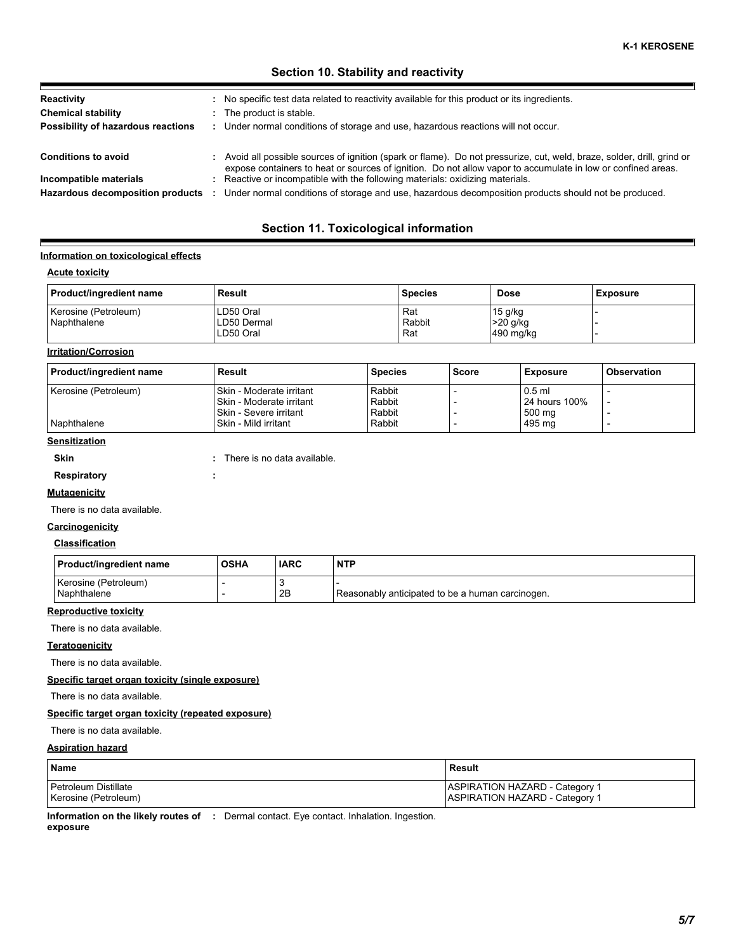# **Section 10. Stability and reactivity**

| Reactivity                         | : No specific test data related to reactivity available for this product or its ingredients.                                                                                                                                            |
|------------------------------------|-----------------------------------------------------------------------------------------------------------------------------------------------------------------------------------------------------------------------------------------|
| <b>Chemical stability</b>          | The product is stable.                                                                                                                                                                                                                  |
| Possibility of hazardous reactions | : Under normal conditions of storage and use, hazardous reactions will not occur.                                                                                                                                                       |
| <b>Conditions to avoid</b>         | : Avoid all possible sources of ignition (spark or flame). Do not pressurize, cut, weld, braze, solder, drill, grind or<br>expose containers to heat or sources of ignition. Do not allow vapor to accumulate in low or confined areas. |
| Incompatible materials             | : Reactive or incompatible with the following materials: oxidizing materials.                                                                                                                                                           |
| Hazardous decomposition products   | Under normal conditions of storage and use, hazardous decomposition products should not be produced.                                                                                                                                    |

# **Section 11. Toxicological information**

### **Information on toxicological effects**

# **Acute toxicity**

E

| Product/ingredient name | Result      | <b>Species</b> | <b>Dose</b> | <b>Exposure</b> |
|-------------------------|-------------|----------------|-------------|-----------------|
| Kerosine (Petroleum)    | LD50 Oral   | Rat            | $15$ g/kg   |                 |
| Naphthalene             | LD50 Dermal | Rabbit         | $>20$ g/kg  |                 |
|                         | LD50 Oral   | Rat            | 490 mg/kg   |                 |

### **Irritation/Corrosion**

| Product/ingredient name | Result                     | <b>Species</b> | <b>Score</b> | Exposure      | <b>Observation</b>       |
|-------------------------|----------------------------|----------------|--------------|---------------|--------------------------|
| Kerosine (Petroleum)    | I Skin - Moderate irritant | Rabbit         |              | $0.5$ ml      |                          |
|                         | I Skin - Moderate irritant | Rabbit         |              | 24 hours 100% | $\overline{\phantom{0}}$ |
|                         | I Skin - Severe irritant   | Rabbit         |              | 500 mg        |                          |
| Naphthalene             | Skin - Mild irritant       | Rabbit         |              | 495 ma        |                          |

# **Sensitization**

**Skin : Respiratory :** There is no data available.

**Mutagenicity**

There is no data available.

### **Carcinogenicity**

| <b>Classification</b> |
|-----------------------|
|-----------------------|

| <b>Product/ingredient name</b>      | <b>OSHA</b> | <b>IARC</b> | <b>NTP</b>                                       |
|-------------------------------------|-------------|-------------|--------------------------------------------------|
| Kerosine (Petroleum)<br>Naphthalene |             | 2B          | Reasonably anticipated to be a human carcinogen. |

### **Reproductive toxicity**

There is no data available.

### **Teratogenicity**

There is no data available.

### **Specific target organ toxicity (single exposure)**

There is no data available.

### **Specific target organ toxicity (repeated exposure)**

There is no data available.

## **Aspiration hazard**

| <b>Name</b>          | l Result                              |
|----------------------|---------------------------------------|
| Petroleum Distillate | <b>ASPIRATION HAZARD - Category 1</b> |
| Kerosine (Petroleum) | ASPIRATION HAZARD - Category 1        |

**Information on the likely routes of :** Dermal contact. Eye contact. Inhalation. Ingestion. **exposure**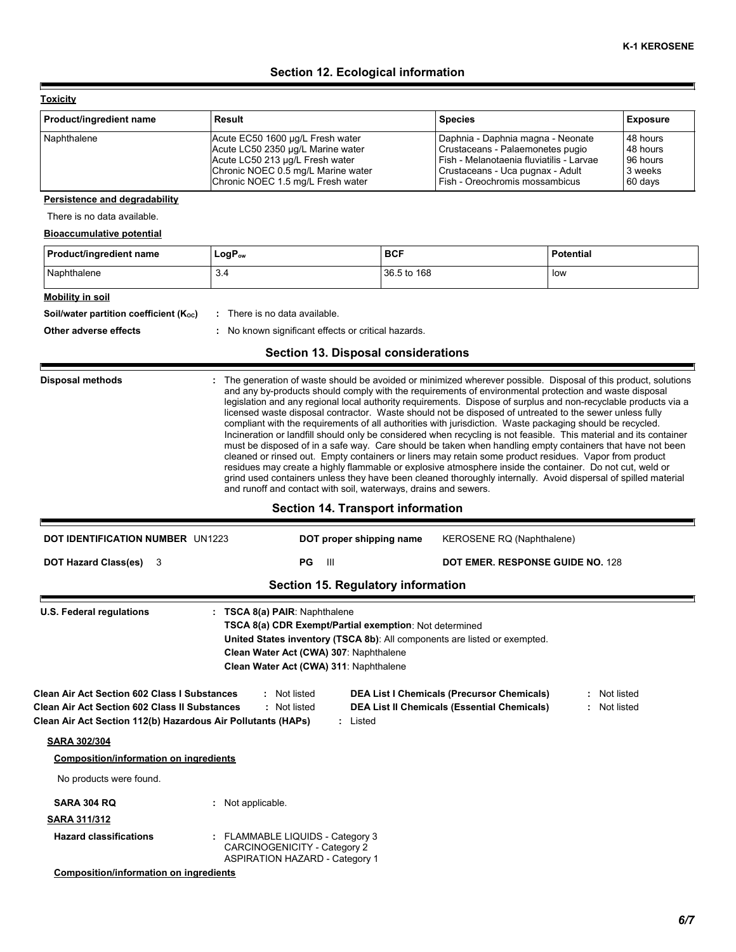# **Section 12. Ecological information**

**Toxicity**

E

| Product/ingredient name | Result                             | <b>Species</b>                           | <b>Exposure</b> |
|-------------------------|------------------------------------|------------------------------------------|-----------------|
| Naphthalene             | Acute EC50 1600 µg/L Fresh water   | Daphnia - Daphnia magna - Neonate        | 48 hours        |
|                         | Acute LC50 2350 µg/L Marine water  | Crustaceans - Palaemonetes pugio         | 48 hours        |
|                         | Acute LC50 213 µg/L Fresh water    | Fish - Melanotaenia fluviatilis - Larvae | 96 hours        |
|                         | Chronic NOEC 0.5 mg/L Marine water | Crustaceans - Uca pugnax - Adult         | 3 weeks         |
|                         | Chronic NOEC 1.5 mg/L Fresh water  | Fish - Oreochromis mossambicus           | 60 days         |

### **Persistence and degradability**

There is no data available.

# **Bioaccumulative potential**

| <b>Product/ingredient name</b>         | LogP <sub>ow</sub>          | <b>BCF</b>  | <b>Potential</b> |
|----------------------------------------|-----------------------------|-------------|------------------|
| Naphthalene                            | 3.4                         | 36.5 to 168 | low              |
| Mobility in soil                       |                             |             |                  |
| Soil/water partition coefficient (Koc) | There is no data available. |             |                  |

# **Other adverse effects by the control of the control of the control of the control of the control of the control of the control of the control of the control of the control of the control of the control of the control of**

# **Section 13. Disposal considerations**

| : The generation of waste should be avoided or minimized wherever possible. Disposal of this product, solutions<br><b>Disposal methods</b><br>and any by-products should comply with the requirements of environmental protection and waste disposal<br>legislation and any regional local authority requirements. Dispose of surplus and non-recyclable products via a<br>licensed waste disposal contractor. Waste should not be disposed of untreated to the sewer unless fully<br>compliant with the requirements of all authorities with jurisdiction. Waste packaging should be recycled.<br>Incineration or landfill should only be considered when recycling is not feasible. This material and its container<br>must be disposed of in a safe way. Care should be taken when handling empty containers that have not been<br>cleaned or rinsed out. Empty containers or liners may retain some product residues. Vapor from product<br>residues may create a highly flammable or explosive atmosphere inside the container. Do not cut, weld or<br>grind used containers unless they have been cleaned thoroughly internally. Avoid dispersal of spilled material<br>and runoff and contact with soil, waterways, drains and sewers.<br><b>Section 14. Transport information</b> |                                                                                                                                                                                                                                                                     |                                                                                                                                     |  |  |
|-------------------------------------------------------------------------------------------------------------------------------------------------------------------------------------------------------------------------------------------------------------------------------------------------------------------------------------------------------------------------------------------------------------------------------------------------------------------------------------------------------------------------------------------------------------------------------------------------------------------------------------------------------------------------------------------------------------------------------------------------------------------------------------------------------------------------------------------------------------------------------------------------------------------------------------------------------------------------------------------------------------------------------------------------------------------------------------------------------------------------------------------------------------------------------------------------------------------------------------------------------------------------------------------|---------------------------------------------------------------------------------------------------------------------------------------------------------------------------------------------------------------------------------------------------------------------|-------------------------------------------------------------------------------------------------------------------------------------|--|--|
| <b>DOT IDENTIFICATION NUMBER UN1223</b>                                                                                                                                                                                                                                                                                                                                                                                                                                                                                                                                                                                                                                                                                                                                                                                                                                                                                                                                                                                                                                                                                                                                                                                                                                                   | DOT proper shipping name                                                                                                                                                                                                                                            | KEROSENE RQ (Naphthalene)                                                                                                           |  |  |
| <b>DOT Hazard Class(es)</b><br>3                                                                                                                                                                                                                                                                                                                                                                                                                                                                                                                                                                                                                                                                                                                                                                                                                                                                                                                                                                                                                                                                                                                                                                                                                                                          | PG<br>Ш                                                                                                                                                                                                                                                             | <b>DOT EMER. RESPONSE GUIDE NO. 128</b>                                                                                             |  |  |
|                                                                                                                                                                                                                                                                                                                                                                                                                                                                                                                                                                                                                                                                                                                                                                                                                                                                                                                                                                                                                                                                                                                                                                                                                                                                                           | Section 15. Regulatory information                                                                                                                                                                                                                                  |                                                                                                                                     |  |  |
| Clean Air Act Section 602 Class I Substances<br><b>Clean Air Act Section 602 Class II Substances</b><br>Clean Air Act Section 112(b) Hazardous Air Pollutants (HAPs)                                                                                                                                                                                                                                                                                                                                                                                                                                                                                                                                                                                                                                                                                                                                                                                                                                                                                                                                                                                                                                                                                                                      | TSCA 8(a) CDR Exempt/Partial exemption: Not determined<br>United States inventory (TSCA 8b): All components are listed or exempted.<br>Clean Water Act (CWA) 307: Naphthalene<br>Clean Water Act (CWA) 311: Naphthalene<br>: Not listed<br>: Not listed<br>: Listed | Not listed<br><b>DEA List I Chemicals (Precursor Chemicals)</b><br><b>DEA List II Chemicals (Essential Chemicals)</b><br>Not listed |  |  |
| <b>SARA 302/304</b>                                                                                                                                                                                                                                                                                                                                                                                                                                                                                                                                                                                                                                                                                                                                                                                                                                                                                                                                                                                                                                                                                                                                                                                                                                                                       |                                                                                                                                                                                                                                                                     |                                                                                                                                     |  |  |
| <b>Composition/information on ingredients</b>                                                                                                                                                                                                                                                                                                                                                                                                                                                                                                                                                                                                                                                                                                                                                                                                                                                                                                                                                                                                                                                                                                                                                                                                                                             |                                                                                                                                                                                                                                                                     |                                                                                                                                     |  |  |
| No products were found.                                                                                                                                                                                                                                                                                                                                                                                                                                                                                                                                                                                                                                                                                                                                                                                                                                                                                                                                                                                                                                                                                                                                                                                                                                                                   |                                                                                                                                                                                                                                                                     |                                                                                                                                     |  |  |
| SARA 304 RQ                                                                                                                                                                                                                                                                                                                                                                                                                                                                                                                                                                                                                                                                                                                                                                                                                                                                                                                                                                                                                                                                                                                                                                                                                                                                               | : Not applicable.                                                                                                                                                                                                                                                   |                                                                                                                                     |  |  |
|                                                                                                                                                                                                                                                                                                                                                                                                                                                                                                                                                                                                                                                                                                                                                                                                                                                                                                                                                                                                                                                                                                                                                                                                                                                                                           |                                                                                                                                                                                                                                                                     |                                                                                                                                     |  |  |
| SARA 311/312                                                                                                                                                                                                                                                                                                                                                                                                                                                                                                                                                                                                                                                                                                                                                                                                                                                                                                                                                                                                                                                                                                                                                                                                                                                                              |                                                                                                                                                                                                                                                                     |                                                                                                                                     |  |  |

**Composition/information on ingredients**